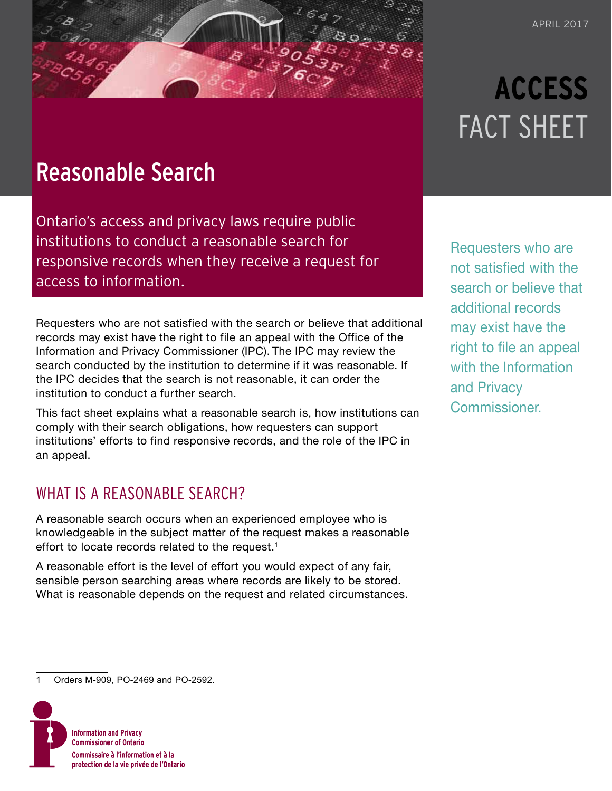## Reasonable Search

Ontario's access and privacy laws require public institutions to conduct a reasonable search for responsive records when they receive a request for access to information.

Requesters who are not satisfied with the search or believe that additional records may exist have the right to file an appeal with the Office of the Information and Privacy Commissioner (IPC). The IPC may review the search conducted by the institution to determine if it was reasonable. If the IPC decides that the search is not reasonable, it can order the institution to conduct a further search.

This fact sheet explains what a reasonable search is, how institutions can comply with their search obligations, how requesters can support institutions' efforts to find responsive records, and the role of the IPC in an appeal.

### WHAT IS A REASONABLE SEARCH?

A reasonable search occurs when an experienced employee who is knowledgeable in the subject matter of the request makes a reasonable effort to locate records related to the request.<sup>1</sup>

A reasonable effort is the level of effort you would expect of any fair, sensible person searching areas where records are likely to be stored. What is reasonable depends on the request and related circumstances.

1 Orders M-909, PO-2469 and PO-2592.



# **ACCESS** FACT SHEET

Requesters who are not satisfied with the search or believe that additional records may exist have the right to file an appeal with the Information and Privacy Commissioner.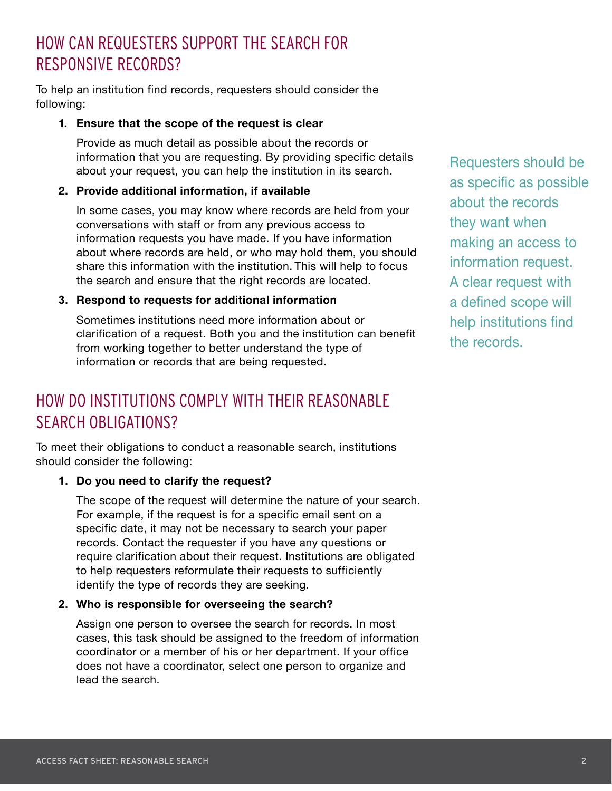## HOW CAN REQUESTERS SUPPORT THE SEARCH FOR RESPONSIVE RECORDS?

To help an institution find records, requesters should consider the following:

#### **1. Ensure that the scope of the request is clear**

Provide as much detail as possible about the records or information that you are requesting. By providing specific details about your request, you can help the institution in its search.

#### **2. Provide additional information, if available**

In some cases, you may know where records are held from your conversations with staff or from any previous access to information requests you have made. If you have information about where records are held, or who may hold them, you should share this information with the institution. This will help to focus the search and ensure that the right records are located.

#### **3. Respond to requests for additional information**

Sometimes institutions need more information about or clarification of a request. Both you and the institution can benefit from working together to better understand the type of information or records that are being requested.

## HOW DO INSTITUTIONS COMPLY WITH THEIR REASONABLE SEARCH OBLIGATIONS?

To meet their obligations to conduct a reasonable search, institutions should consider the following:

#### **1. Do you need to clarify the request?**

The scope of the request will determine the nature of your search. For example, if the request is for a specific email sent on a specific date, it may not be necessary to search your paper records. Contact the requester if you have any questions or require clarification about their request. Institutions are obligated to help requesters reformulate their requests to sufficiently identify the type of records they are seeking.

#### **2. Who is responsible for overseeing the search?**

Assign one person to oversee the search for records. In most cases, this task should be assigned to the freedom of information coordinator or a member of his or her department. If your office does not have a coordinator, select one person to organize and lead the search.

Requesters should be as specific as possible about the records they want when making an access to information request. A clear request with a defined scope will help institutions find the records.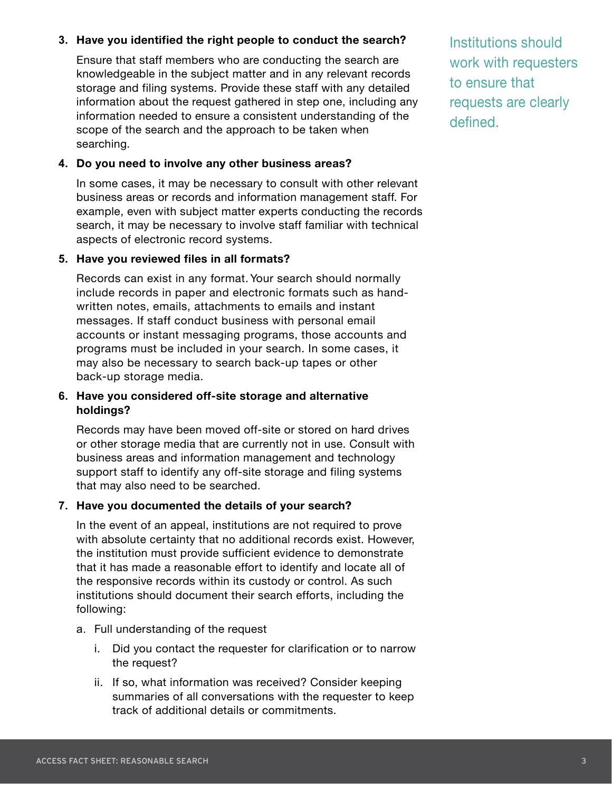#### **3. Have you identified the right people to conduct the search?**

Ensure that staff members who are conducting the search are knowledgeable in the subject matter and in any relevant records storage and filing systems. Provide these staff with any detailed information about the request gathered in step one, including any information needed to ensure a consistent understanding of the scope of the search and the approach to be taken when searching.

#### **4. Do you need to involve any other business areas?**

In some cases, it may be necessary to consult with other relevant business areas or records and information management staff. For example, even with subject matter experts conducting the records search, it may be necessary to involve staff familiar with technical aspects of electronic record systems.

#### **5. Have you reviewed files in all formats?**

Records can exist in any format. Your search should normally include records in paper and electronic formats such as handwritten notes, emails, attachments to emails and instant messages. If staff conduct business with personal email accounts or instant messaging programs, those accounts and programs must be included in your search. In some cases, it may also be necessary to search back-up tapes or other back-up storage media.

#### **6. Have you considered off-site storage and alternative holdings?**

Records may have been moved off-site or stored on hard drives or other storage media that are currently not in use. Consult with business areas and information management and technology support staff to identify any off-site storage and filing systems that may also need to be searched.

#### **7. Have you documented the details of your search?**

In the event of an appeal, institutions are not required to prove with absolute certainty that no additional records exist. However, the institution must provide sufficient evidence to demonstrate that it has made a reasonable effort to identify and locate all of the responsive records within its custody or control. As such institutions should document their search efforts, including the following:

- a. Full understanding of the request
	- i. Did you contact the requester for clarification or to narrow the request?
	- ii. If so, what information was received? Consider keeping summaries of all conversations with the requester to keep track of additional details or commitments.

Institutions should work with requesters to ensure that requests are clearly defined.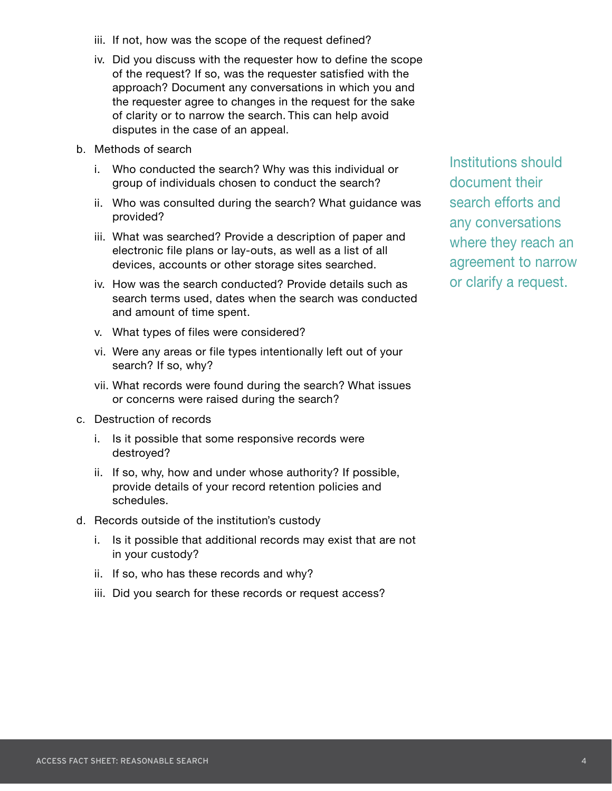- 
- ACCESS FACT SHEET: REASONABLE SEARCH TECHNOLOGY FACT SHEET: PROTECTING AGAINST RANSOMY FACT SHEET: PROTECTING A
- iii. If not, how was the scope of the request defined?
- iv. Did you discuss with the requester how to define the scope of the request? If so, was the requester satisfied with the approach? Document any conversations in which you and the requester agree to changes in the request for the sake of clarity or to narrow the search. This can help avoid disputes in the case of an appeal.
- b. Methods of search
	- i. Who conducted the search? Why was this individual or group of individuals chosen to conduct the search?
	- ii. Who was consulted during the search? What guidance was provided?
	- iii. What was searched? Provide a description of paper and electronic file plans or lay-outs, as well as a list of all devices, accounts or other storage sites searched.
	- iv. How was the search conducted? Provide details such as search terms used, dates when the search was conducted and amount of time spent.
	- v. What types of files were considered?
	- vi. Were any areas or file types intentionally left out of your search? If so, why?
	- vii. What records were found during the search? What issues or concerns were raised during the search?
- c. Destruction of records
	- i. Is it possible that some responsive records were destroyed?
	- ii. If so, why, how and under whose authority? If possible, provide details of your record retention policies and schedules.
- d. Records outside of the institution's custody
	- i. Is it possible that additional records may exist that are not in your custody?
	- ii. If so, who has these records and why?
	- iii. Did you search for these records or request access?

Institutions should document their search efforts and any conversations where they reach an agreement to narrow or clarify a request.